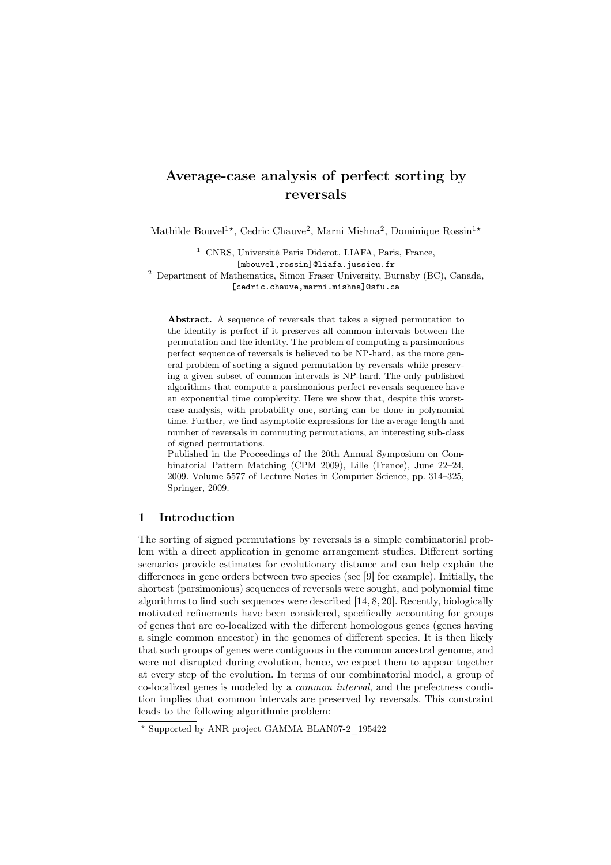# Average-case analysis of perfect sorting by reversals

Mathilde Bouvel<sup>1\*</sup>, Cedric Chauve<sup>2</sup>, Marni Mishna<sup>2</sup>, Dominique Rossin<sup>1\*</sup>

<sup>1</sup> CNRS, Université Paris Diderot, LIAFA, Paris, France, [mbouvel,rossin]@liafa.jussieu.fr

<sup>2</sup> Department of Mathematics, Simon Fraser University, Burnaby (BC), Canada,

[cedric.chauve,marni.mishna]@sfu.ca

Abstract. A sequence of reversals that takes a signed permutation to the identity is perfect if it preserves all common intervals between the permutation and the identity. The problem of computing a parsimonious perfect sequence of reversals is believed to be NP-hard, as the more general problem of sorting a signed permutation by reversals while preserving a given subset of common intervals is NP-hard. The only published algorithms that compute a parsimonious perfect reversals sequence have an exponential time complexity. Here we show that, despite this worstcase analysis, with probability one, sorting can be done in polynomial time. Further, we find asymptotic expressions for the average length and number of reversals in commuting permutations, an interesting sub-class of signed permutations.

Published in the Proceedings of the 20th Annual Symposium on Combinatorial Pattern Matching (CPM 2009), Lille (France), June 22–24, 2009. Volume 5577 of Lecture Notes in Computer Science, pp. 314–325, Springer, 2009.

# 1 Introduction

The sorting of signed permutations by reversals is a simple combinatorial problem with a direct application in genome arrangement studies. Different sorting scenarios provide estimates for evolutionary distance and can help explain the differences in gene orders between two species (see [9] for example). Initially, the shortest (parsimonious) sequences of reversals were sought, and polynomial time algorithms to find such sequences were described [14, 8, 20]. Recently, biologically motivated refinements have been considered, specifically accounting for groups of genes that are co-localized with the different homologous genes (genes having a single common ancestor) in the genomes of different species. It is then likely that such groups of genes were contiguous in the common ancestral genome, and were not disrupted during evolution, hence, we expect them to appear together at every step of the evolution. In terms of our combinatorial model, a group of co-localized genes is modeled by a common interval, and the prefectness condition implies that common intervals are preserved by reversals. This constraint leads to the following algorithmic problem:

 $\star$  Supported by ANR project GAMMA BLAN07-2 195422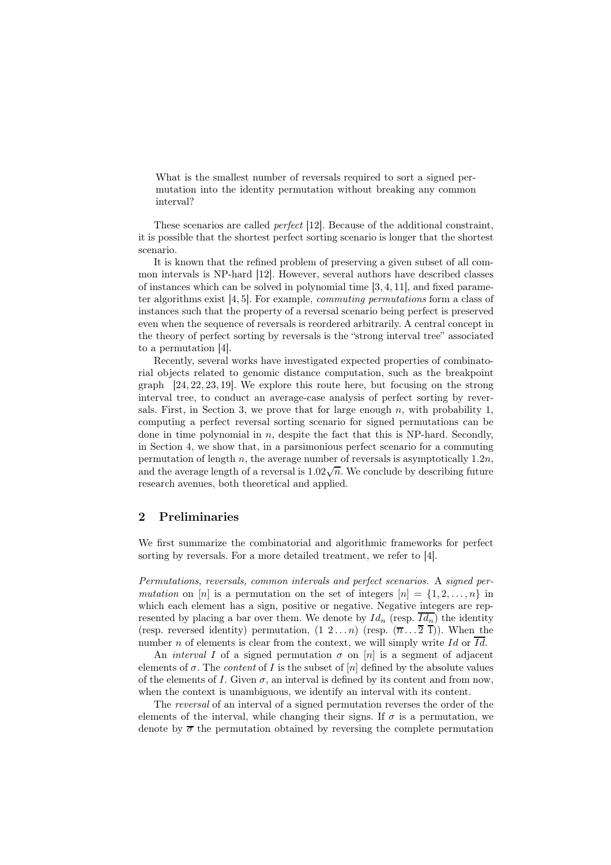What is the smallest number of reversals required to sort a signed permutation into the identity permutation without breaking any common interval?

These scenarios are called perfect [12]. Because of the additional constraint, it is possible that the shortest perfect sorting scenario is longer that the shortest scenario.

It is known that the refined problem of preserving a given subset of all common intervals is NP-hard [12]. However, several authors have described classes of instances which can be solved in polynomial time [3, 4, 11], and fixed parameter algorithms exist [4, 5]. For example, commuting permutations form a class of instances such that the property of a reversal scenario being perfect is preserved even when the sequence of reversals is reordered arbitrarily. A central concept in the theory of perfect sorting by reversals is the "strong interval tree" associated to a permutation [4].

Recently, several works have investigated expected properties of combinatorial objects related to genomic distance computation, such as the breakpoint graph [24, 22, 23, 19]. We explore this route here, but focusing on the strong interval tree, to conduct an average-case analysis of perfect sorting by reversals. First, in Section 3, we prove that for large enough  $n$ , with probability 1, computing a perfect reversal sorting scenario for signed permutations can be done in time polynomial in  $n$ , despite the fact that this is NP-hard. Secondly, in Section 4, we show that, in a parsimonious perfect scenario for a commuting permutation of length n, the average number of reversals is asymptotically  $1.2n$ , and the average length of a reversal is  $1.02\sqrt{n}$ . We conclude by describing future research avenues, both theoretical and applied.

# 2 Preliminaries

We first summarize the combinatorial and algorithmic frameworks for perfect sorting by reversals. For a more detailed treatment, we refer to [4].

Permutations, reversals, common intervals and perfect scenarios. A signed permutation on [n] is a permutation on the set of integers  $[n] = \{1, 2, \ldots, n\}$  in which each element has a sign, positive or negative. Negative integers are represented by placing a bar over them. We denote by  $Id_n$  (resp.  $\overline{Id_n}$ ) the identity (resp. reversed identity) permutation,  $(1 \ 2 \dots n)$  (resp.  $(\overline{n} \dots \overline{2} \ \overline{1})$ ). When the number n of elements is clear from the context, we will simply write Id or  $\overline{Id}$ .

An *interval I* of a signed permutation  $\sigma$  on  $[n]$  is a segment of adjacent elements of  $\sigma$ . The *content* of I is the subset of [n] defined by the absolute values of the elements of I. Given  $\sigma$ , an interval is defined by its content and from now, when the context is unambiguous, we identify an interval with its content.

The reversal of an interval of a signed permutation reverses the order of the elements of the interval, while changing their signs. If  $\sigma$  is a permutation, we denote by  $\overline{\sigma}$  the permutation obtained by reversing the complete permutation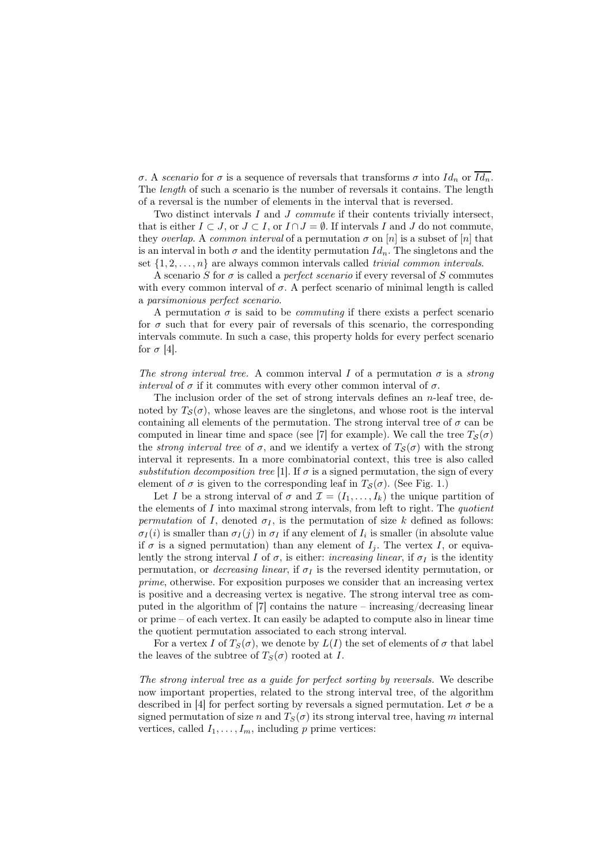σ. A scenario for σ is a sequence of reversals that transforms σ into  $Id_n$  or  $\overline{Id_n}$ . The *length* of such a scenario is the number of reversals it contains. The length of a reversal is the number of elements in the interval that is reversed.

Two distinct intervals  $I$  and  $J$  commute if their contents trivially intersect, that is either  $I \subset J$ , or  $J \subset I$ , or  $I \cap J = \emptyset$ . If intervals I and J do not commute, they *overlap.* A common interval of a permutation  $\sigma$  on [n] is a subset of [n] that is an interval in both  $\sigma$  and the identity permutation  $Id_n$ . The singletons and the set  $\{1, 2, \ldots, n\}$  are always common intervals called *trivial common intervals.* 

A scenario S for  $\sigma$  is called a *perfect scenario* if every reversal of S commutes with every common interval of  $\sigma$ . A perfect scenario of minimal length is called a parsimonious perfect scenario.

A permutation  $\sigma$  is said to be *commuting* if there exists a perfect scenario for  $\sigma$  such that for every pair of reversals of this scenario, the corresponding intervals commute. In such a case, this property holds for every perfect scenario for  $\sigma$  [4].

The strong interval tree. A common interval I of a permutation  $\sigma$  is a strong interval of  $\sigma$  if it commutes with every other common interval of  $\sigma$ .

The inclusion order of the set of strong intervals defines an n-leaf tree, denoted by  $T_{\mathcal{S}}(\sigma)$ , whose leaves are the singletons, and whose root is the interval containing all elements of the permutation. The strong interval tree of  $\sigma$  can be computed in linear time and space (see [7] for example). We call the tree  $T_{\mathcal{S}}(\sigma)$ the *strong interval tree* of  $\sigma$ , and we identify a vertex of  $T_{\rm s}(\sigma)$  with the strong interval it represents. In a more combinatorial context, this tree is also called substitution decomposition tree [1]. If  $\sigma$  is a signed permutation, the sign of every element of  $\sigma$  is given to the corresponding leaf in  $T_{\mathcal{S}}(\sigma)$ . (See Fig. 1.)

Let I be a strong interval of  $\sigma$  and  $\mathcal{I} = (I_1, \ldots, I_k)$  the unique partition of the elements of  $I$  into maximal strong intervals, from left to right. The quotient permutation of I, denoted  $\sigma_I$ , is the permutation of size k defined as follows:  $\sigma_I(i)$  is smaller than  $\sigma_I(j)$  in  $\sigma_I$  if any element of  $I_i$  is smaller (in absolute value if  $\sigma$  is a signed permutation) than any element of  $I_i$ . The vertex I, or equivalently the strong interval I of  $\sigma$ , is either: *increasing linear*, if  $\sigma_I$  is the identity permutation, or *decreasing linear*, if  $\sigma<sub>I</sub>$  is the reversed identity permutation, or prime, otherwise. For exposition purposes we consider that an increasing vertex is positive and a decreasing vertex is negative. The strong interval tree as computed in the algorithm of [7] contains the nature – increasing/decreasing linear or prime – of each vertex. It can easily be adapted to compute also in linear time the quotient permutation associated to each strong interval.

For a vertex I of  $T_S(\sigma)$ , we denote by  $L(I)$  the set of elements of  $\sigma$  that label the leaves of the subtree of  $T_S(\sigma)$  rooted at I.

The strong interval tree as a guide for perfect sorting by reversals. We describe now important properties, related to the strong interval tree, of the algorithm described in [4] for perfect sorting by reversals a signed permutation. Let  $\sigma$  be a signed permutation of size n and  $T_S(\sigma)$  its strong interval tree, having m internal vertices, called  $I_1, \ldots, I_m$ , including p prime vertices: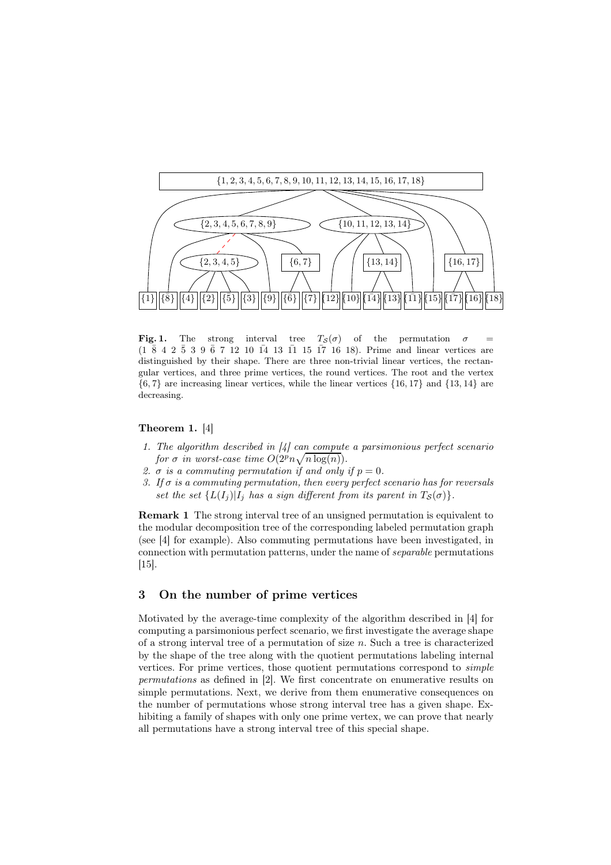

**Fig. 1.** The strong interval tree  $T_S(\sigma)$  of the permutation  $\sigma$  $(1 \ \overline{8} \ 4 \ 2 \ \overline{5} \ 3 \ 9 \ \overline{6} \ 7 \ 12 \ 10 \ \overline{14} \ 13 \ \overline{11} \ 15 \ \overline{17} \ 16 \ 18)$ . Prime and linear vertices are distinguished by their shape. There are three non-trivial linear vertices, the rectangular vertices, and three prime vertices, the round vertices. The root and the vertex  $\{6, 7\}$  are increasing linear vertices, while the linear vertices  $\{16, 17\}$  and  $\{13, 14\}$  are decreasing.

## Theorem 1. [4]

- 1. The algorithm described in [4] can compute a parsimonious perfect scenario for  $\sigma$  in worst-case time  $O(2^p n \sqrt{n \log(n)})$ .
- 2.  $\sigma$  is a commuting permutation if and only if  $p = 0$ .
- 3. If  $\sigma$  is a commuting permutation, then every perfect scenario has for reversals set the set  $\{L(I_i)|I_i\}$  has a sign different from its parent in  $T_{\mathcal{S}}(\sigma)\}.$

Remark 1 The strong interval tree of an unsigned permutation is equivalent to the modular decomposition tree of the corresponding labeled permutation graph (see [4] for example). Also commuting permutations have been investigated, in connection with permutation patterns, under the name of separable permutations [15].

# 3 On the number of prime vertices

Motivated by the average-time complexity of the algorithm described in [4] for computing a parsimonious perfect scenario, we first investigate the average shape of a strong interval tree of a permutation of size  $n$ . Such a tree is characterized by the shape of the tree along with the quotient permutations labeling internal vertices. For prime vertices, those quotient permutations correspond to simple permutations as defined in [2]. We first concentrate on enumerative results on simple permutations. Next, we derive from them enumerative consequences on the number of permutations whose strong interval tree has a given shape. Exhibiting a family of shapes with only one prime vertex, we can prove that nearly all permutations have a strong interval tree of this special shape.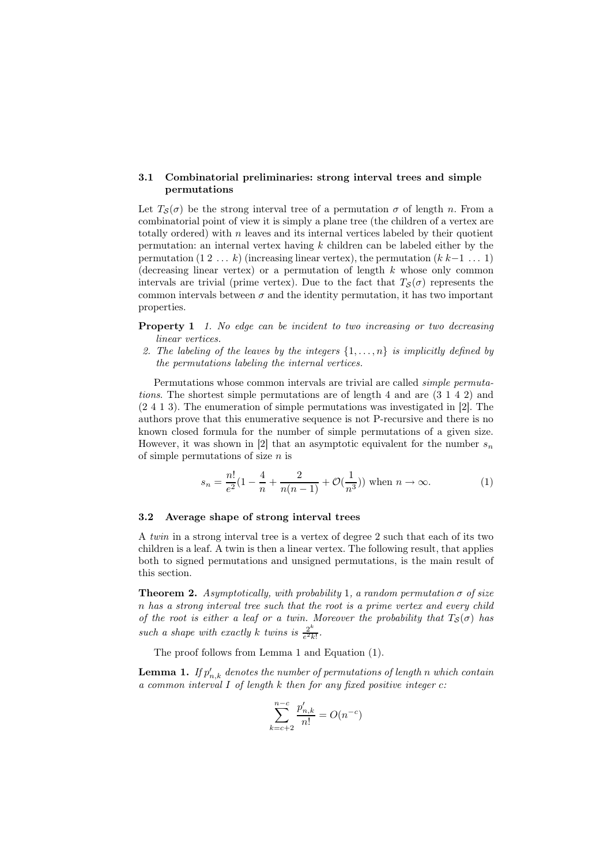# 3.1 Combinatorial preliminaries: strong interval trees and simple permutations

Let  $T_{\mathcal{S}}(\sigma)$  be the strong interval tree of a permutation  $\sigma$  of length n. From a combinatorial point of view it is simply a plane tree (the children of a vertex are totally ordered) with  $n$  leaves and its internal vertices labeled by their quotient permutation: an internal vertex having k children can be labeled either by the permutation (1 2 . . . k) (increasing linear vertex), the permutation  $(k k-1 ... 1)$ (decreasing linear vertex) or a permutation of length k whose only common intervals are trivial (prime vertex). Due to the fact that  $T_{\mathcal{S}}(\sigma)$  represents the common intervals between  $\sigma$  and the identity permutation, it has two important properties.

**Property 1** 1. No edge can be incident to two increasing or two decreasing linear vertices.

2. The labeling of the leaves by the integers  $\{1, \ldots, n\}$  is implicitly defined by the permutations labeling the internal vertices.

Permutations whose common intervals are trivial are called simple permutations. The shortest simple permutations are of length 4 and are (3 1 4 2) and (2 4 1 3). The enumeration of simple permutations was investigated in [2]. The authors prove that this enumerative sequence is not P-recursive and there is no known closed formula for the number of simple permutations of a given size. However, it was shown in [2] that an asymptotic equivalent for the number  $s_n$ of simple permutations of size  $n$  is

$$
s_n = \frac{n!}{e^2} (1 - \frac{4}{n} + \frac{2}{n(n-1)} + \mathcal{O}(\frac{1}{n^3})) \text{ when } n \to \infty.
$$
 (1)

#### 3.2 Average shape of strong interval trees

A twin in a strong interval tree is a vertex of degree 2 such that each of its two children is a leaf. A twin is then a linear vertex. The following result, that applies both to signed permutations and unsigned permutations, is the main result of this section.

**Theorem 2.** Asymptotically, with probability 1, a random permutation  $\sigma$  of size n has a strong interval tree such that the root is a prime vertex and every child of the root is either a leaf or a twin. Moreover the probability that  $T_{\mathcal{S}}(\sigma)$  has such a shape with exactly k twins is  $\frac{2^k}{e^2k}$  $\frac{2^k}{e^2k!}$ .

The proof follows from Lemma 1 and Equation (1).

**Lemma 1.** If  $p'_{n,k}$  denotes the number of permutations of length n which contain a common interval  $I$  of length  $k$  then for any fixed positive integer  $c$ :

$$
\sum_{k=c+2}^{n-c} \frac{p'_{n,k}}{n!} = O(n^{-c})
$$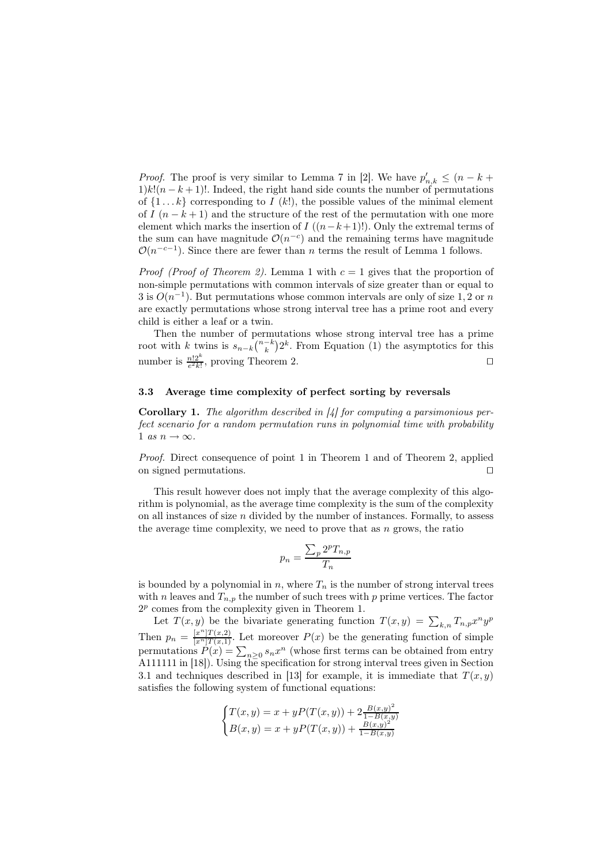*Proof.* The proof is very similar to Lemma 7 in [2]. We have  $p'_{n,k} \leq (n - k + 1)$  $1)$ k! $(n - k + 1)$ !. Indeed, the right hand side counts the number of permutations of  $\{1...k\}$  corresponding to I (k!), the possible values of the minimal element of I  $(n - k + 1)$  and the structure of the rest of the permutation with one more element which marks the insertion of I  $((n-k+1)!)$ . Only the extremal terms of the sum can have magnitude  $\mathcal{O}(n^{-c})$  and the remaining terms have magnitude  $\mathcal{O}(n^{-c-1})$ . Since there are fewer than *n* terms the result of Lemma 1 follows.

*Proof (Proof of Theorem 2).* Lemma 1 with  $c = 1$  gives that the proportion of non-simple permutations with common intervals of size greater than or equal to 3 is  $O(n^{-1})$ . But permutations whose common intervals are only of size 1, 2 or n are exactly permutations whose strong interval tree has a prime root and every child is either a leaf or a twin.

Then the number of permutations whose strong interval tree has a prime root with k twins is  $s_{n-k} \binom{n-k}{k} 2^k$ . From Equation (1) the asymptotics for this number is  $\frac{n!2^k}{e^2k!}$ , proving Theorem 2. □

#### 3.3 Average time complexity of perfect sorting by reversals

**Corollary 1.** The algorithm described in  $\vert \mathcal{L} \vert$  for computing a parsimonious perfect scenario for a random permutation runs in polynomial time with probability 1 as  $n \to \infty$ .

Proof. Direct consequence of point 1 in Theorem 1 and of Theorem 2, applied on signed permutations. ⊓⊔

This result however does not imply that the average complexity of this algorithm is polynomial, as the average time complexity is the sum of the complexity on all instances of size  $n$  divided by the number of instances. Formally, to assess the average time complexity, we need to prove that as  $n$  grows, the ratio

$$
p_n = \frac{\sum_p 2^p T_{n,p}}{T_n}
$$

is bounded by a polynomial in n, where  $T_n$  is the number of strong interval trees with n leaves and  $T_{n,p}$  the number of such trees with p prime vertices. The factor 2 p comes from the complexity given in Theorem 1.

Let  $T(x, y)$  be the bivariate generating function  $T(x, y) = \sum_{k,n} T_{n,p} x^n y^p$ Then  $p_n = \frac{[x^n]T(x,2)}{[x^n]T(x,1)}$ . Let moreover  $P(x)$  be the generating function of simple permutations  $P(x) = \sum_{n\geq 0} s_n x^n$  (whose first terms can be obtained from entry A111111 in [18]). Using the specification for strong interval trees given in Section 3.1 and techniques described in [13] for example, it is immediate that  $T(x, y)$ satisfies the following system of functional equations:

$$
\begin{cases}\nT(x,y) = x + yP(T(x,y)) + 2\frac{B(x,y)^2}{1 - B(x,y)} \\
B(x,y) = x + yP(T(x,y)) + \frac{B(x,y)^2}{1 - B(x,y)}\n\end{cases}
$$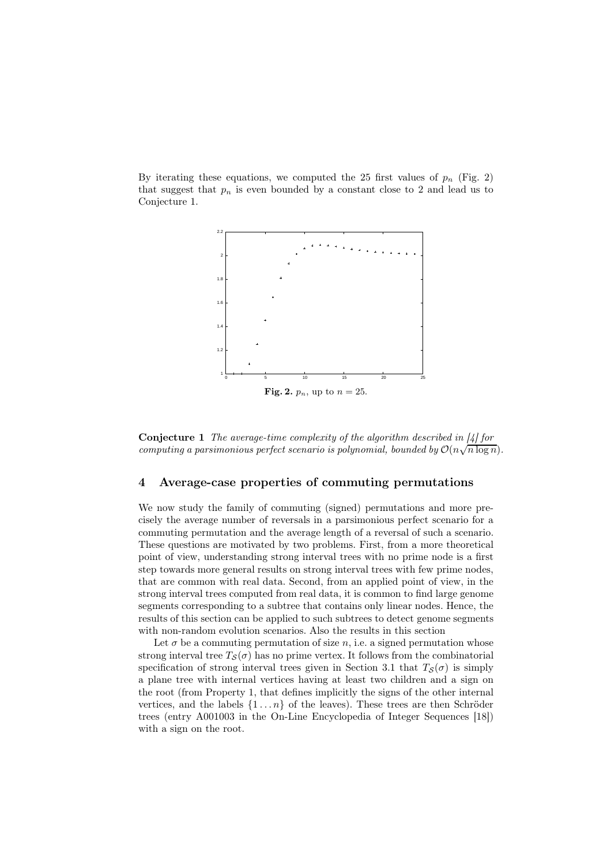By iterating these equations, we computed the 25 first values of  $p_n$  (Fig. 2) that suggest that  $p_n$  is even bounded by a constant close to 2 and lead us to Conjecture 1.



Conjecture 1 The average-time complexity of the algorithm described in [4] for computing a parsimonious perfect scenario is polynomial, bounded by  $\mathcal{O}(n\sqrt{n\log n})$ .

# 4 Average-case properties of commuting permutations

We now study the family of commuting (signed) permutations and more precisely the average number of reversals in a parsimonious perfect scenario for a commuting permutation and the average length of a reversal of such a scenario. These questions are motivated by two problems. First, from a more theoretical point of view, understanding strong interval trees with no prime node is a first step towards more general results on strong interval trees with few prime nodes, that are common with real data. Second, from an applied point of view, in the strong interval trees computed from real data, it is common to find large genome segments corresponding to a subtree that contains only linear nodes. Hence, the results of this section can be applied to such subtrees to detect genome segments with non-random evolution scenarios. Also the results in this section

Let  $\sigma$  be a commuting permutation of size n, i.e. a signed permutation whose strong interval tree  $T_{\mathcal{S}}(\sigma)$  has no prime vertex. It follows from the combinatorial specification of strong interval trees given in Section 3.1 that  $T_{\mathcal{S}}(\sigma)$  is simply a plane tree with internal vertices having at least two children and a sign on the root (from Property 1, that defines implicitly the signs of the other internal vertices, and the labels  $\{1 \dots n\}$  of the leaves). These trees are then Schröder trees (entry A001003 in the On-Line Encyclopedia of Integer Sequences [18]) with a sign on the root.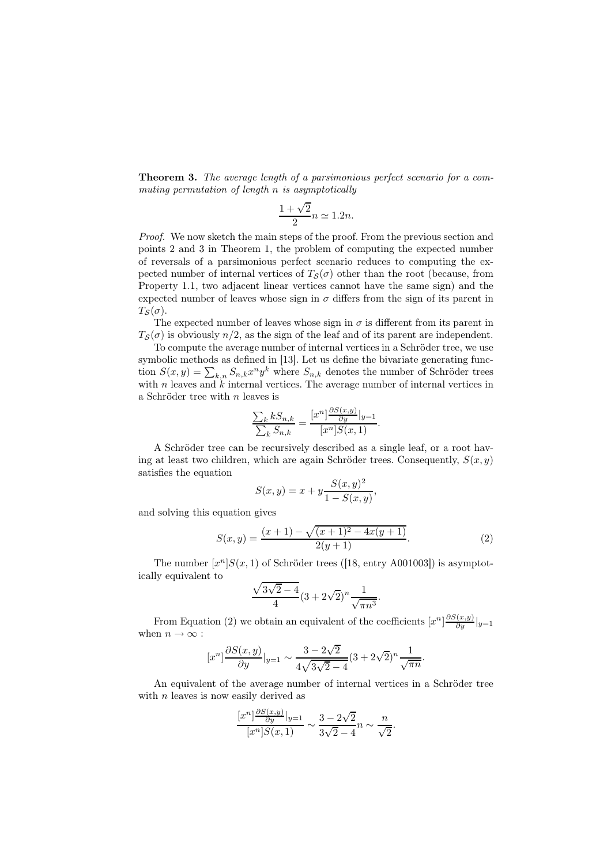Theorem 3. The average length of a parsimonious perfect scenario for a commuting permutation of length n is asymptotically

$$
\frac{1+\sqrt{2}}{2}n \simeq 1.2n.
$$

Proof. We now sketch the main steps of the proof. From the previous section and points 2 and 3 in Theorem 1, the problem of computing the expected number of reversals of a parsimonious perfect scenario reduces to computing the expected number of internal vertices of  $T_{\mathcal{S}}(\sigma)$  other than the root (because, from Property 1.1, two adjacent linear vertices cannot have the same sign) and the expected number of leaves whose sign in  $\sigma$  differs from the sign of its parent in  $T_S(\sigma)$ .

The expected number of leaves whose sign in  $\sigma$  is different from its parent in  $T<sub>S</sub>(\sigma)$  is obviously  $n/2$ , as the sign of the leaf and of its parent are independent.

To compute the average number of internal vertices in a Schröder tree, we use symbolic methods as defined in [13]. Let us define the bivariate generating function  $S(x, y) = \sum_{k,n} S_{n,k} x^n y^k$  where  $S_{n,k}$  denotes the number of Schröder trees with n leaves and  $k$  internal vertices. The average number of internal vertices in a Schröder tree with n leaves is

$$
\frac{\sum_{k} k S_{n,k}}{\sum_{k} S_{n,k}} = \frac{[x^n] \frac{\partial S(x,y)}{\partial y} |_{y=1}}{[x^n] S(x,1)}.
$$

A Schröder tree can be recursively described as a single leaf, or a root having at least two children, which are again Schröder trees. Consequently,  $S(x, y)$ satisfies the equation

$$
S(x, y) = x + y \frac{S(x, y)^2}{1 - S(x, y)},
$$

and solving this equation gives

$$
S(x,y) = \frac{(x+1) - \sqrt{(x+1)^2 - 4x(y+1)}}{2(y+1)}.
$$
 (2)

.

The number  $[x^n]S(x,1)$  of Schröder trees ([18, entry A001003]) is asymptotically equivalent to

$$
\frac{\sqrt{3\sqrt{2}-4}}{4}(3+2\sqrt{2})^n\frac{1}{\sqrt{\pi n^3}}.
$$

From Equation (2) we obtain an equivalent of the coefficients  $[x^n] \frac{\partial S(x,y)}{\partial y}|_{y=1}$ when  $n\to\infty$  :

$$
[x^n] \frac{\partial S(x,y)}{\partial y}|_{y=1} \sim \frac{3 - 2\sqrt{2}}{4\sqrt{3\sqrt{2} - 4}} (3 + 2\sqrt{2})^n \frac{1}{\sqrt{\pi n}}.
$$

An equivalent of the average number of internal vertices in a Schröder tree with  $n$  leaves is now easily derived as

$$
\frac{[x^n]\frac{\partial S(x,y)}{\partial y}|_{y=1}}{[x^n]S(x,1)} \sim \frac{3-2\sqrt{2}}{3\sqrt{2}-4}n \sim \frac{n}{\sqrt{2}}
$$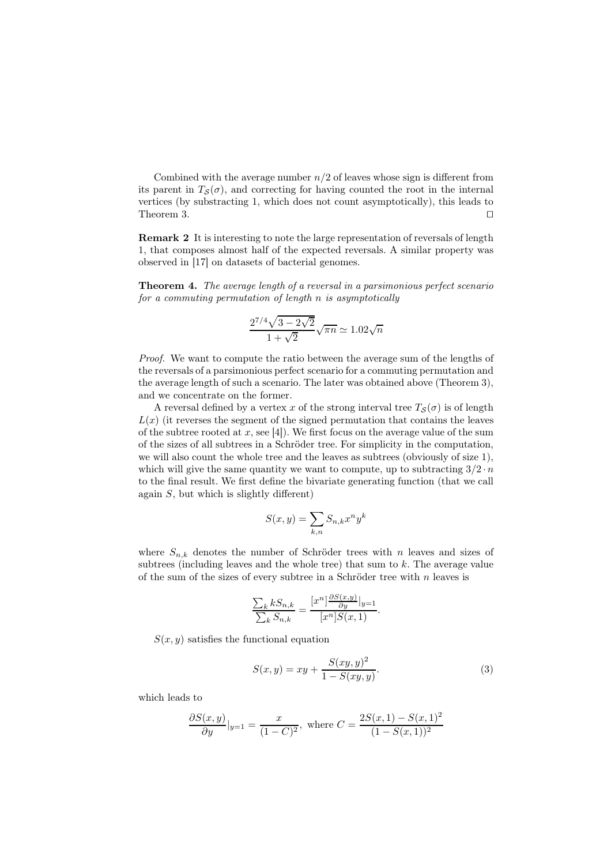Combined with the average number  $n/2$  of leaves whose sign is different from its parent in  $T_{\mathcal{S}}(\sigma)$ , and correcting for having counted the root in the internal vertices (by substracting 1, which does not count asymptotically), this leads to Theorem 3.  $□$ 

Remark 2 It is interesting to note the large representation of reversals of length 1, that composes almost half of the expected reversals. A similar property was observed in [17] on datasets of bacterial genomes.

Theorem 4. The average length of a reversal in a parsimonious perfect scenario for a commuting permutation of length n is asymptotically

$$
\frac{2^{7/4}\sqrt{3-2\sqrt{2}}}{1+\sqrt{2}}\sqrt{\pi n}\simeq 1.02\sqrt{n}
$$

Proof. We want to compute the ratio between the average sum of the lengths of the reversals of a parsimonious perfect scenario for a commuting permutation and the average length of such a scenario. The later was obtained above (Theorem 3), and we concentrate on the former.

A reversal defined by a vertex x of the strong interval tree  $T_{\mathcal{S}}(\sigma)$  is of length  $L(x)$  (it reverses the segment of the signed permutation that contains the leaves of the subtree rooted at  $x$ , see [4]). We first focus on the average value of the sum of the sizes of all subtrees in a Schröder tree. For simplicity in the computation, we will also count the whole tree and the leaves as subtrees (obviously of size 1), which will give the same quantity we want to compute, up to subtracting  $3/2 \cdot n$ to the final result. We first define the bivariate generating function (that we call again  $S$ , but which is slightly different)

$$
S(x,y) = \sum_{k,n} S_{n,k} x^n y^k
$$

where  $S_{n,k}$  denotes the number of Schröder trees with n leaves and sizes of subtrees (including leaves and the whole tree) that sum to  $k$ . The average value of the sum of the sizes of every subtree in a Schröder tree with  $n$  leaves is

$$
\frac{\sum_{k} k S_{n,k}}{\sum_{k} S_{n,k}} = \frac{[x^n] \frac{\partial S(x,y)}{\partial y} |_{y=1}}{[x^n] S(x,1)}.
$$

 $S(x, y)$  satisfies the functional equation

$$
S(x,y) = xy + \frac{S(xy,y)^2}{1 - S(xy,y)}.
$$
 (3)

which leads to

$$
\frac{\partial S(x,y)}{\partial y}|_{y=1} = \frac{x}{(1-C)^2}, \text{ where } C = \frac{2S(x,1) - S(x,1)^2}{(1-S(x,1))^2}
$$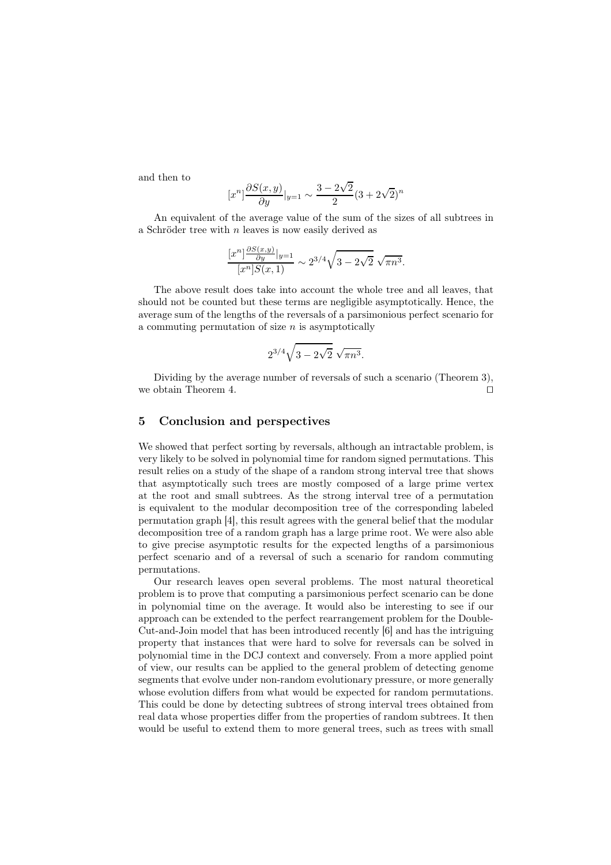and then to

$$
[x^{n}] \frac{\partial S(x, y)}{\partial y} |_{y=1} \sim \frac{3 - 2\sqrt{2}}{2} (3 + 2\sqrt{2})^{n}
$$

An equivalent of the average value of the sum of the sizes of all subtrees in a Schröder tree with  $n$  leaves is now easily derived as

$$
\frac{[x^n]\frac{\partial S(x,y)}{\partial y}|_{y=1}}{[x^n]S(x,1)} \sim 2^{3/4}\sqrt{3-2\sqrt{2}}\sqrt{\pi n^3}.
$$

The above result does take into account the whole tree and all leaves, that should not be counted but these terms are negligible asymptotically. Hence, the average sum of the lengths of the reversals of a parsimonious perfect scenario for a commuting permutation of size  $n$  is asymptotically

$$
2^{3/4}\sqrt{3-2\sqrt{2}}\,\sqrt{\pi n^3}.
$$

Dividing by the average number of reversals of such a scenario (Theorem 3), we obtain Theorem 4. □

# 5 Conclusion and perspectives

We showed that perfect sorting by reversals, although an intractable problem, is very likely to be solved in polynomial time for random signed permutations. This result relies on a study of the shape of a random strong interval tree that shows that asymptotically such trees are mostly composed of a large prime vertex at the root and small subtrees. As the strong interval tree of a permutation is equivalent to the modular decomposition tree of the corresponding labeled permutation graph [4], this result agrees with the general belief that the modular decomposition tree of a random graph has a large prime root. We were also able to give precise asymptotic results for the expected lengths of a parsimonious perfect scenario and of a reversal of such a scenario for random commuting permutations.

Our research leaves open several problems. The most natural theoretical problem is to prove that computing a parsimonious perfect scenario can be done in polynomial time on the average. It would also be interesting to see if our approach can be extended to the perfect rearrangement problem for the Double-Cut-and-Join model that has been introduced recently [6] and has the intriguing property that instances that were hard to solve for reversals can be solved in polynomial time in the DCJ context and conversely. From a more applied point of view, our results can be applied to the general problem of detecting genome segments that evolve under non-random evolutionary pressure, or more generally whose evolution differs from what would be expected for random permutations. This could be done by detecting subtrees of strong interval trees obtained from real data whose properties differ from the properties of random subtrees. It then would be useful to extend them to more general trees, such as trees with small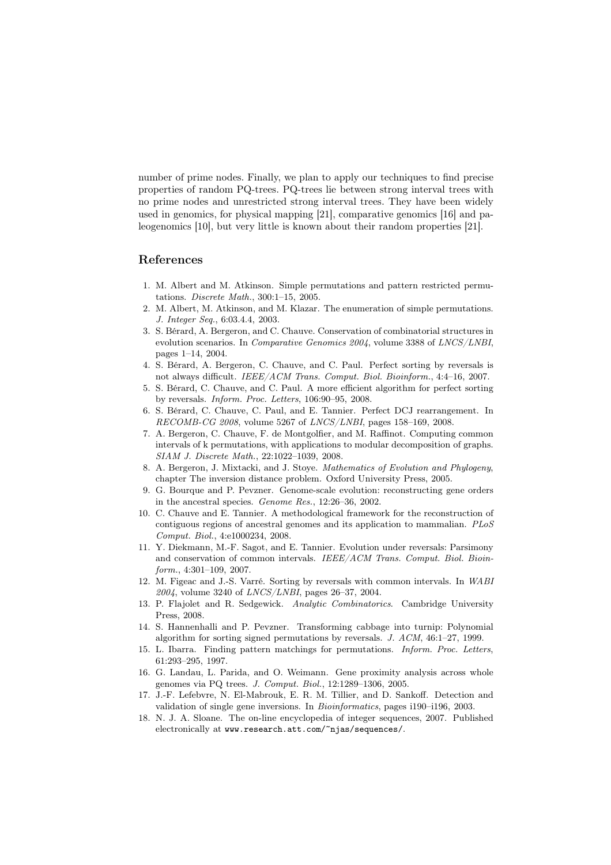number of prime nodes. Finally, we plan to apply our techniques to find precise properties of random PQ-trees. PQ-trees lie between strong interval trees with no prime nodes and unrestricted strong interval trees. They have been widely used in genomics, for physical mapping [21], comparative genomics [16] and paleogenomics [10], but very little is known about their random properties [21].

# References

- 1. M. Albert and M. Atkinson. Simple permutations and pattern restricted permutations. Discrete Math., 300:1–15, 2005.
- 2. M. Albert, M. Atkinson, and M. Klazar. The enumeration of simple permutations. J. Integer Seq., 6:03.4.4, 2003.
- 3. S. Bérard, A. Bergeron, and C. Chauve. Conservation of combinatorial structures in evolution scenarios. In Comparative Genomics 2004, volume 3388 of LNCS/LNBI, pages 1–14, 2004.
- 4. S. Bérard, A. Bergeron, C. Chauve, and C. Paul. Perfect sorting by reversals is not always difficult. IEEE/ACM Trans. Comput. Biol. Bioinform., 4:4–16, 2007.
- 5. S. Bérard, C. Chauve, and C. Paul. A more efficient algorithm for perfect sorting by reversals. Inform. Proc. Letters, 106:90–95, 2008.
- 6. S. Bérard, C. Chauve, C. Paul, and E. Tannier. Perfect DCJ rearrangement. In RECOMB-CG 2008, volume 5267 of LNCS/LNBI, pages 158–169, 2008.
- 7. A. Bergeron, C. Chauve, F. de Montgolfier, and M. Raffinot. Computing common intervals of k permutations, with applications to modular decomposition of graphs. SIAM J. Discrete Math., 22:1022–1039, 2008.
- 8. A. Bergeron, J. Mixtacki, and J. Stoye. Mathematics of Evolution and Phylogeny, chapter The inversion distance problem. Oxford University Press, 2005.
- 9. G. Bourque and P. Pevzner. Genome-scale evolution: reconstructing gene orders in the ancestral species. Genome Res., 12:26–36, 2002.
- 10. C. Chauve and E. Tannier. A methodological framework for the reconstruction of contiguous regions of ancestral genomes and its application to mammalian. PLoS Comput. Biol., 4:e1000234, 2008.
- 11. Y. Diekmann, M.-F. Sagot, and E. Tannier. Evolution under reversals: Parsimony and conservation of common intervals. IEEE/ACM Trans. Comput. Biol. Bioinform., 4:301–109, 2007.
- 12. M. Figeac and J.-S. Varré. Sorting by reversals with common intervals. In WABI  $2004$ , volume 3240 of *LNCS/LNBI*, pages 26–37, 2004.
- 13. P. Flajolet and R. Sedgewick. Analytic Combinatorics. Cambridge University Press, 2008.
- 14. S. Hannenhalli and P. Pevzner. Transforming cabbage into turnip: Polynomial algorithm for sorting signed permutations by reversals. J. ACM, 46:1–27, 1999.
- 15. L. Ibarra. Finding pattern matchings for permutations. Inform. Proc. Letters, 61:293–295, 1997.
- 16. G. Landau, L. Parida, and O. Weimann. Gene proximity analysis across whole genomes via PQ trees. J. Comput. Biol., 12:1289–1306, 2005.
- 17. J.-F. Lefebvre, N. El-Mabrouk, E. R. M. Tillier, and D. Sankoff. Detection and validation of single gene inversions. In Bioinformatics, pages i190–i196, 2003.
- 18. N. J. A. Sloane. The on-line encyclopedia of integer sequences, 2007. Published electronically at www.research.att.com/~njas/sequences/.